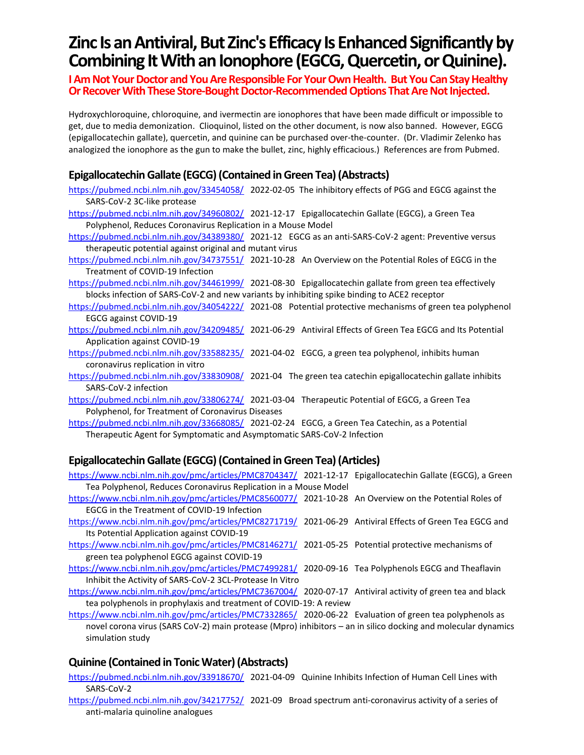# **Zinc Is an Antiviral, But Zinc's Efficacy Is Enhanced Significantly by Combining It With an Ionophore(EGCG, Quercetin, or Quinine).**

**I Am Not Your Doctor and You Are Responsible For Your Own Health. But You Can Stay Healthy Or Recover With These Store-Bought Doctor-RecommendedOptions That Are Not Injected.**

Hydroxychloroquine, chloroquine, and ivermectin are ionophores that have been made difficult or impossible to get, due to media demonization. Clioquinol, listed on the other document, is now also banned. However, EGCG (epigallocatechin gallate), quercetin, and quinine can be purchased over-the-counter. (Dr. Vladimir Zelenko has analogized the ionophore as the gun to make the bullet, zinc, highly efficacious.) References are from Pubmed.

### **Epigallocatechin Gallate (EGCG)(Contained in Green Tea) (Abstracts)**

- <https://pubmed.ncbi.nlm.nih.gov/33454058/>2022-02-05 The inhibitory effects of PGG and EGCG against the SARS-CoV-2 3C-like protease
- <https://pubmed.ncbi.nlm.nih.gov/34960802/>2021-12-17 Epigallocatechin Gallate (EGCG), a Green Tea Polyphenol, Reduces Coronavirus Replication in a Mouse Model
- <https://pubmed.ncbi.nlm.nih.gov/34389380/>2021-12 EGCG as an anti-SARS-CoV-2 agent: Preventive versus therapeutic potential against original and mutant virus
- <https://pubmed.ncbi.nlm.nih.gov/34737551/>2021-10-28 An Overview on the Potential Roles of EGCG in the Treatment of COVID-19 Infection
- <https://pubmed.ncbi.nlm.nih.gov/34461999/>2021-08-30 Epigallocatechin gallate from green tea effectively blocks infection of SARS-CoV-2 and new variants by inhibiting spike binding to ACE2 receptor
- <https://pubmed.ncbi.nlm.nih.gov/34054222/>2021-08 Potential protective mechanisms of green tea polyphenol EGCG against COVID-19
- <https://pubmed.ncbi.nlm.nih.gov/34209485/>2021-06-29 Antiviral Effects of Green Tea EGCG and Its Potential Application against COVID-19
- <https://pubmed.ncbi.nlm.nih.gov/33588235/>2021-04-02 EGCG, a green tea polyphenol, inhibits human coronavirus replication in vitro
- <https://pubmed.ncbi.nlm.nih.gov/33830908/>2021-04 The green tea catechin epigallocatechin gallate inhibits SARS-CoV-2 infection
- <https://pubmed.ncbi.nlm.nih.gov/33806274/>2021-03-04 Therapeutic Potential of EGCG, a Green Tea Polyphenol, for Treatment of Coronavirus Diseases
- <https://pubmed.ncbi.nlm.nih.gov/33668085/>2021-02-24 EGCG, a Green Tea Catechin, as a Potential Therapeutic Agent for Symptomatic and Asymptomatic SARS-CoV-2 Infection

### **Epigallocatechin Gallate (EGCG) (Contained in Green Tea) (Articles)**

- <https://www.ncbi.nlm.nih.gov/pmc/articles/PMC8704347/>2021-12-17 Epigallocatechin Gallate (EGCG), a Green Tea Polyphenol, Reduces Coronavirus Replication in a Mouse Model
- <https://www.ncbi.nlm.nih.gov/pmc/articles/PMC8560077/>2021-10-28 An Overview on the Potential Roles of EGCG in the Treatment of COVID-19 Infection
- <https://www.ncbi.nlm.nih.gov/pmc/articles/PMC8271719/>2021-06-29 Antiviral Effects of Green Tea EGCG and Its Potential Application against COVID-19
- <https://www.ncbi.nlm.nih.gov/pmc/articles/PMC8146271/>2021-05-25 Potential protective mechanisms of green tea polyphenol EGCG against COVID-19
- <https://www.ncbi.nlm.nih.gov/pmc/articles/PMC7499281/>2020-09-16 Tea Polyphenols EGCG and Theaflavin Inhibit the Activity of SARS-CoV-2 3CL-Protease In Vitro
- <https://www.ncbi.nlm.nih.gov/pmc/articles/PMC7367004/>2020-07-17 Antiviral activity of green tea and black tea polyphenols in prophylaxis and treatment of COVID-19: A review
- <https://www.ncbi.nlm.nih.gov/pmc/articles/PMC7332865/>2020-06-22 Evaluation of green tea polyphenols as novel corona virus (SARS CoV-2) main protease (Mpro) inhibitors – an in silico docking and molecular dynamics simulation study

### **Quinine (Contained in Tonic Water) (Abstracts)**

- <https://pubmed.ncbi.nlm.nih.gov/33918670/>2021-04-09 Quinine Inhibits Infection of Human Cell Lines with SARS-CoV-2
- <https://pubmed.ncbi.nlm.nih.gov/34217752/>2021-09 Broad spectrum anti-coronavirus activity of a series of anti-malaria quinoline analogues